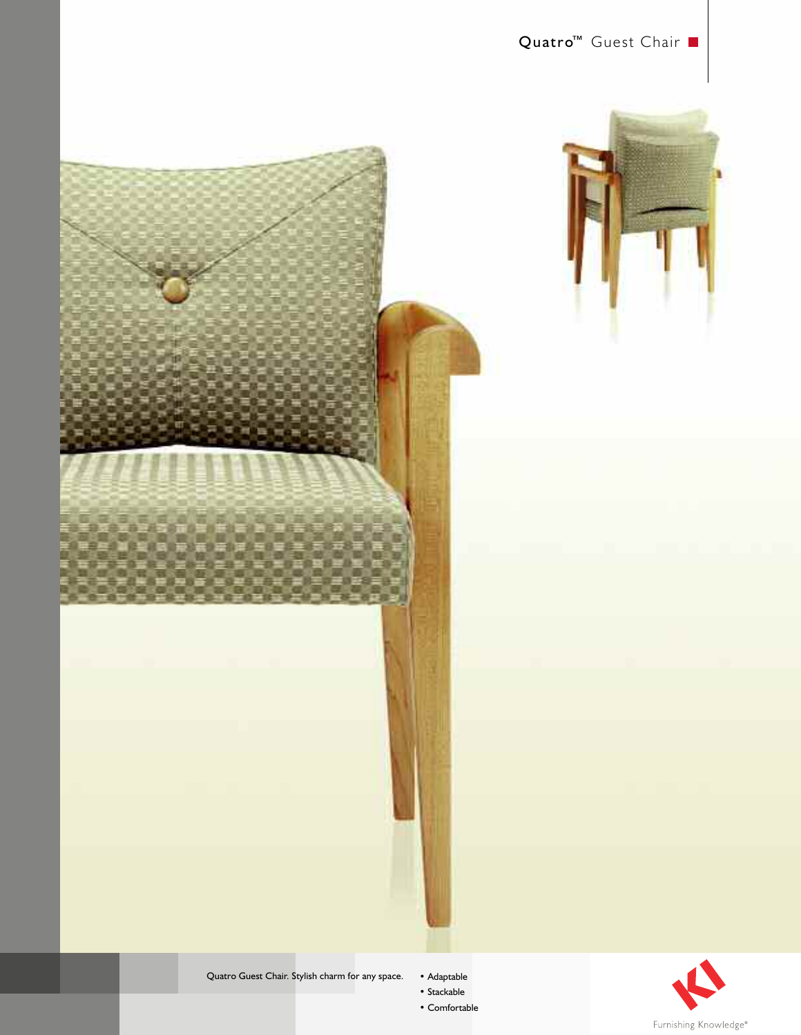





Quatro Guest Chair. Stylish charm for any space.

• Adaptable

• Stackable • Comfortable